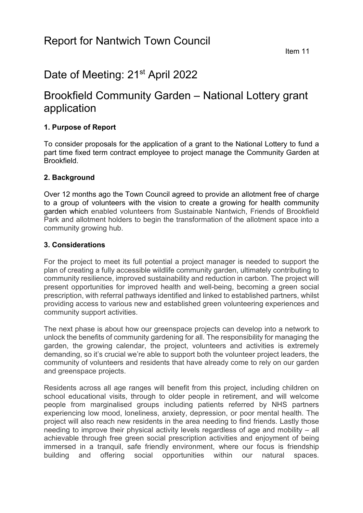# Date of Meeting: 21<sup>st</sup> April 2022

## Brookfield Community Garden – National Lottery grant application

## **1. Purpose of Report**

To consider proposals for the application of a grant to the National Lottery to fund a part time fixed term contract employee to project manage the Community Garden at Brookfield.

#### **2. Background**

Over 12 months ago the Town Council agreed to provide an allotment free of charge to a group of volunteers with the vision to create a growing for health community garden which enabled volunteers from Sustainable Nantwich, Friends of Brookfield Park and allotment holders to begin the transformation of the allotment space into a community growing hub.

#### **3. Considerations**

For the project to meet its full potential a project manager is needed to support the plan of creating a fully accessible wildlife community garden, ultimately contributing to community resilience, improved sustainability and reduction in carbon. The project will present opportunities for improved health and well-being, becoming a green social prescription, with referral pathways identified and linked to established partners, whilst providing access to various new and established green volunteering experiences and community support activities.

The next phase is about how our greenspace projects can develop into a network to unlock the benefits of community gardening for all. The responsibility for managing the garden, the growing calendar, the project, volunteers and activities is extremely demanding, so it's crucial we're able to support both the volunteer project leaders, the community of volunteers and residents that have already come to rely on our garden and greenspace projects.

Residents across all age ranges will benefit from this project, including children on school educational visits, through to older people in retirement, and will welcome people from marginalised groups including patients referred by NHS partners experiencing low mood, loneliness, anxiety, depression, or poor mental health. The project will also reach new residents in the area needing to find friends. Lastly those needing to improve their physical activity levels regardless of age and mobility – all achievable through free green social prescription activities and enjoyment of being immersed in a tranquil, safe friendly environment, where our focus is friendship building and offering social opportunities within our natural spaces.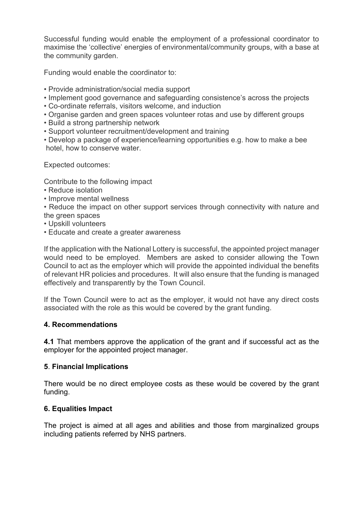Successful funding would enable the employment of a professional coordinator to maximise the 'collective' energies of environmental/community groups, with a base at the community garden.

Funding would enable the coordinator to:

- Provide administration/social media support
- Implement good governance and safeguarding consistence's across the projects
- Co-ordinate referrals, visitors welcome, and induction
- Organise garden and green spaces volunteer rotas and use by different groups
- Build a strong partnership network
- Support volunteer recruitment/development and training
- Develop a package of experience/learning opportunities e.g. how to make a bee hotel, how to conserve water.

Expected outcomes:

Contribute to the following impact

- Reduce isolation
- Improve mental wellness
- Reduce the impact on other support services through connectivity with nature and the green spaces
- Upskill volunteers
- Educate and create a greater awareness

If the application with the National Lottery is successful, the appointed project manager would need to be employed. Members are asked to consider allowing the Town Council to act as the employer which will provide the appointed individual the benefits of relevant HR policies and procedures. It will also ensure that the funding is managed effectively and transparently by the Town Council.

If the Town Council were to act as the employer, it would not have any direct costs associated with the role as this would be covered by the grant funding.

## **4. Recommendations**

**4.1** That members approve the application of the grant and if successful act as the employer for the appointed project manager.

#### **5**. **Financial Implications**

There would be no direct employee costs as these would be covered by the grant funding.

## **6. Equalities Impact**

The project is aimed at all ages and abilities and those from marginalized groups including patients referred by NHS partners.